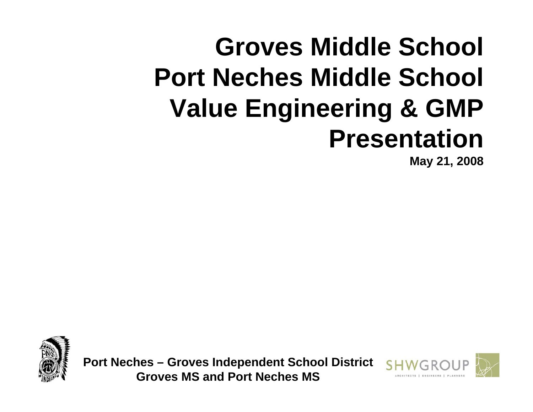# **Groves Middle School Port Neches Middle School Value Engineering & GMP Presentation**

**May 21, 2008**



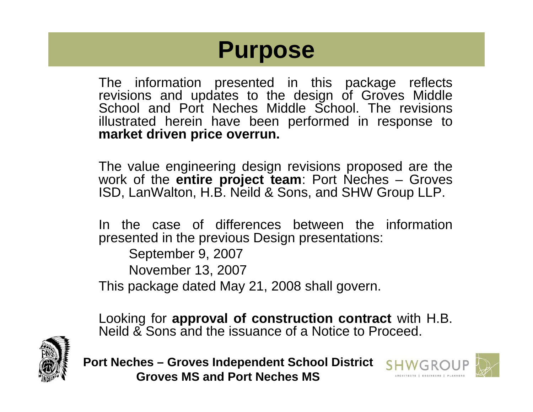## **Purpose**

The information presented in this package reflects revisions and updates to the design of Groves Middle School and Port Neches Middle School. The revisions illustrated herein have been performed in response to **market driven price overrun.**

The value engineering design revisions proposed are the work of the **entire project team**: Port Neches – Groves ISD, LanWalton, H.B. Neild & Sons, and SHW Group LLP.

In the case of differences between the information presented in the previous Design presentations:

September 9, 2007 November 13, 2007 This package dated May 21, 2008 shall govern.

Looking for **approval of construction contract** with H.B. Neild & Sons and the issuance of a Notice to Proceed.



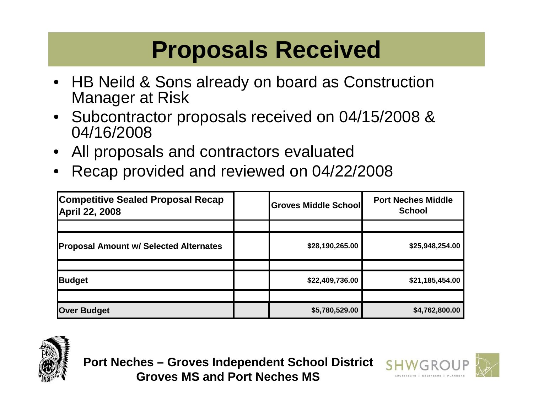## **Proposals Received**

- HB Neild & Sons already on board as Construction Manager at Risk
- Subcontractor proposals received on 04/15/2008 & 04/16/2008
- All proposals and contractors evaluated
- Recap provided and reviewed on 04/22/2008

| <b>Competitive Sealed Proposal Recap</b><br><b>April 22, 2008</b> | <b>Groves Middle School</b> | <b>Port Neches Middle</b><br><b>School</b> |
|-------------------------------------------------------------------|-----------------------------|--------------------------------------------|
|                                                                   |                             |                                            |
| <b>Proposal Amount w/ Selected Alternates</b>                     | \$28,190,265.00             | \$25,948,254.00                            |
|                                                                   |                             |                                            |
| <b>Budget</b>                                                     | \$22,409,736.00             | \$21,185,454.00                            |
|                                                                   |                             |                                            |
| <b>Over Budget</b>                                                | \$5,780,529.00              | \$4,762,800.00                             |





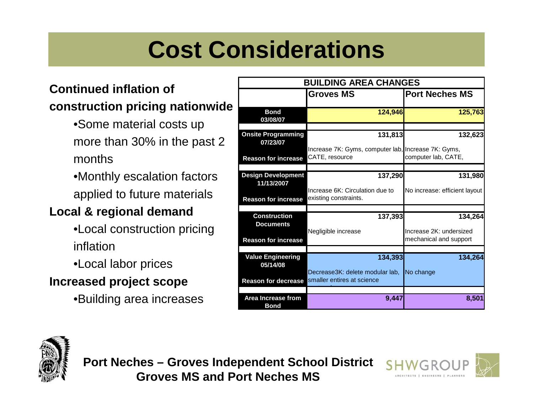## **Cost Considerations**

### **Continued inflation of construction pricing nationwide**

- •Some material costs up more than 30% in the past 2 months
- •Monthly escalation factors applied to future materials

### **Local & regional demand**

- •Local construction pricing inflation
- •Local labor prices

### **Increased project scope**

•Building area increases

| <b>BUILDING AREA CHANGES</b>                                          |                                                                       |                                                              |  |  |
|-----------------------------------------------------------------------|-----------------------------------------------------------------------|--------------------------------------------------------------|--|--|
|                                                                       | <b>Groves MS</b>                                                      | <b>Port Neches MS</b>                                        |  |  |
| <b>Bond</b><br>03/08/07                                               | 124,946                                                               | 125,763                                                      |  |  |
| <b>Onsite Programming</b><br>07/23/07                                 | 131,813                                                               | 132,623                                                      |  |  |
| <b>Reason for increase</b>                                            | Increase 7K: Gyms, computer lab, Increase 7K: Gyms,<br>CATE, resource | computer lab, CATE,                                          |  |  |
| <b>Design Development</b>                                             | 137,290                                                               | 131,980                                                      |  |  |
| 11/13/2007<br><b>Reason for increase</b>                              | Increase 6K: Circulation due to<br>existing constraints.              | No increase: efficient layout                                |  |  |
|                                                                       |                                                                       |                                                              |  |  |
| <b>Construction</b><br><b>Documents</b><br><b>Reason for increase</b> | 137,393<br>Negligible increase                                        | 134,264<br>Increase 2K: undersized<br>mechanical and support |  |  |
|                                                                       |                                                                       |                                                              |  |  |
| <b>Value Engineering</b><br>05/14/08                                  | 134,393                                                               | 134,264                                                      |  |  |
| <b>Reason for decrease</b>                                            | Decrease3K: delete modular lab,<br>smaller entires at science         | No change                                                    |  |  |
| Area Increase from<br><b>Bond</b>                                     | 9,447                                                                 | 8,501                                                        |  |  |



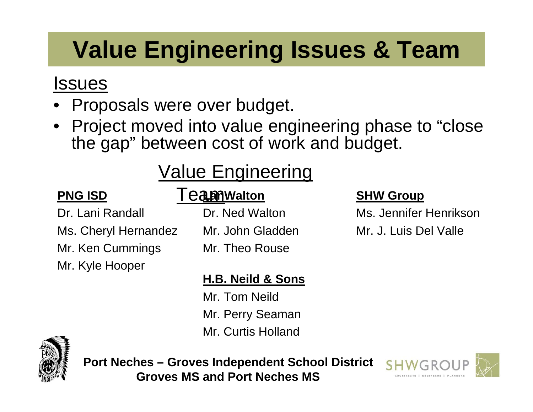## **Value Engineering Issues & Team**

## Issues

- Proposals were over budget.
- Project moved into value engineering phase to "close the gap" between cost of work and budget.

## Value Engineering

### **PNG ISD**

Dr. Lani Randall Ms. Cheryl Hernandez Mr. Ken Cummings Mr. Kyle Hooper

### **D** Teamwalton

Dr. Ned WaltonMr. John GladdenMr. Theo Rouse

### **SHW Group**

Ms. Jennifer HenriksonMr. J. Luis Del Valle

### **H.B. Neild & Sons**

Mr. Tom NeildMr. Perry Seaman Mr. Curtis Holland



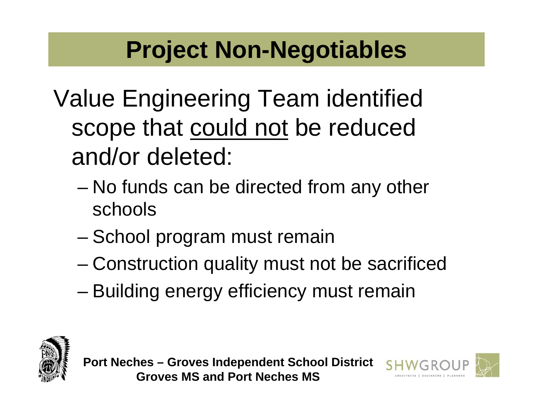## **Project Non-Negotiables**

- Value Engineering Team identified scope that could not be reduced and/or deleted:
	- No funds can be directed from any other schools
	- School program must remain
	- Construction quality must not be sacrificed
	- Building energy efficiency must remain



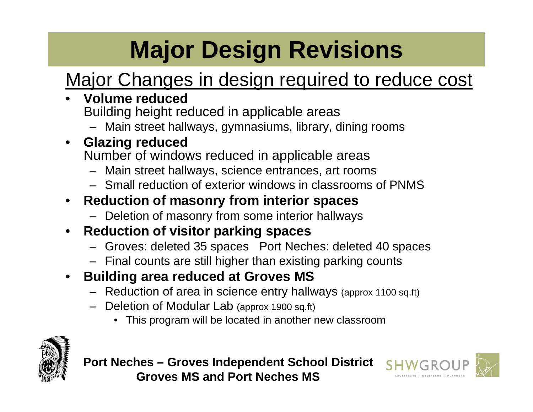# **Major Design Revisions**

## Major Changes in design required to reduce cost

- **Volume reduced**  Building height reduced in applicable areas
	- Main street hallways, gymnasiums, library, dining rooms
- **Glazing reduced**  Number of windows reduced in applicable areas
	- Main street hallways, science entrances, art rooms
	- Small reduction of exterior windows in classrooms of PNMS

### • **Reduction of masonry from interior spaces**

- Deletion of masonry from some interior hallways
- **Reduction of visitor parking spaces**
	- Groves: deleted 35 spaces Port Neches: deleted 40 spaces
	- Final counts are still higher than existing parking counts
- **Building area reduced at Groves MS**
	- Reduction of area in science entry hallways (approx 1100 sq.ft)
	- Deletion of Modular Lab (approx 1900 sq.ft)
		- This program will be located in another new classroom



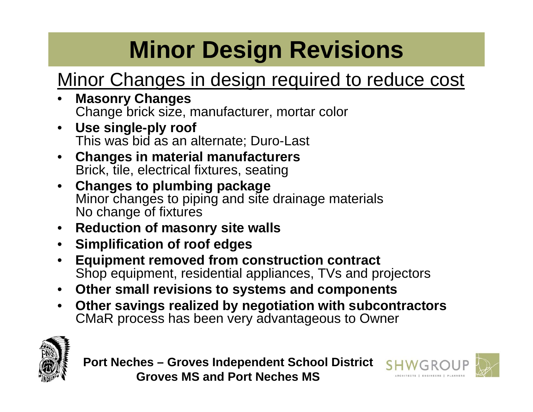# **Minor Design Revisions**

## Minor Changes in design required to reduce cost

- **Masonry Changes**  Change brick size, manufacturer, mortar color
- **Use single-ply roof**  This was bid as an alternate; Duro-Last
- **Changes in material manufacturers**  Brick, tile, electrical fixtures, seating
- **Changes to plumbing package**  Minor changes to piping and site drainage materials No change of fixtures
- **Reduction of masonry site walls**
- **Simplification of roof edges**
- **Equipment removed from construction contract**  Shop equipment, residential appliances, TVs and projectors
- **Other small revisions to systems and components**
- **Other savings realized by negotiation with subcontractors**  CMaR process has been very advantageous to Owner



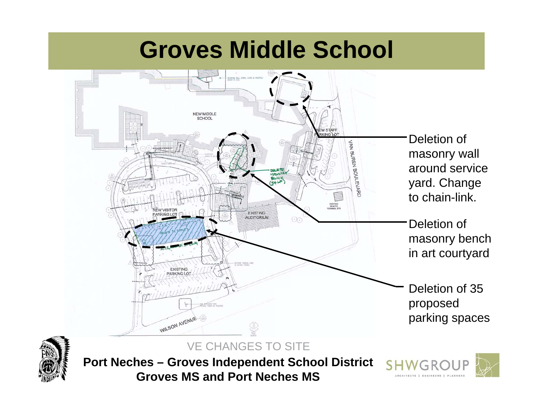



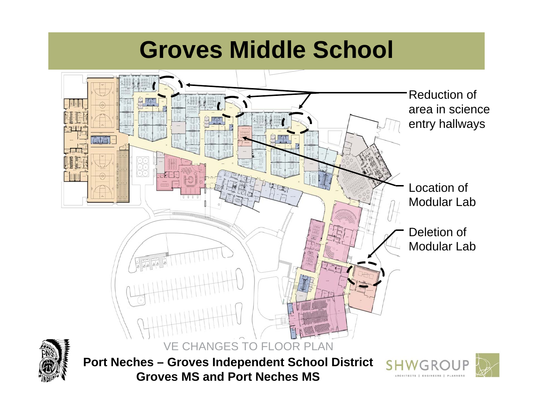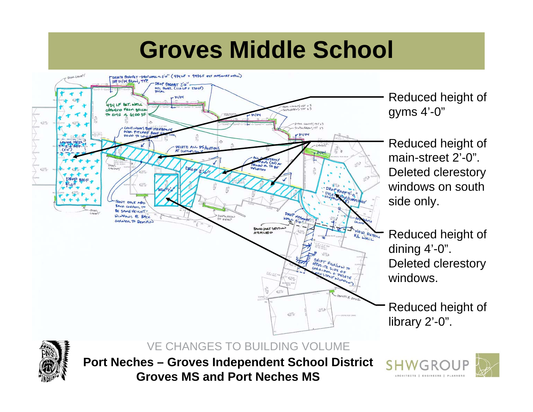

Reduced height of gyms 4'-0"

Reduced height of main-street 2'-0". Deleted clerestory windows on south side only.

Reduced height of dining 4'-0". Deleted clerestory windows.

Reduced height of library 2'-0".



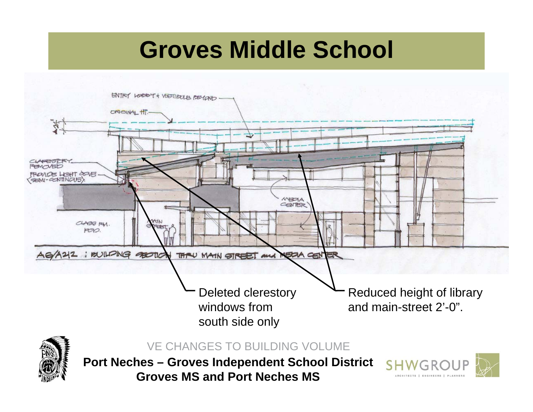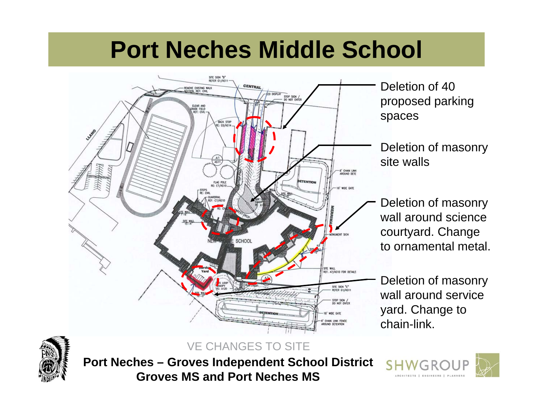## **Port Neches Middle School**





**Port Neches – Groves Independent School District Groves MS and Port Neches MS**

VE CHANGES TO SITE

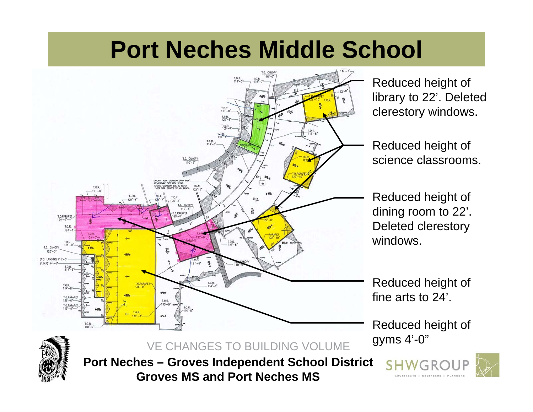## **Port Neches Middle School**



Reduced height of library to 22'. Deleted clerestory windows.

Reduced height of science classrooms.

Reduced height of dining room to 22'. Deleted clerestory windows.

Reduced height of fine arts to 24'.

Reduced height of gyms 4'-0"



**Port Neches – Groves Independent School District Groves MS and Port Neches MS**

VE CHANGES TO BUILDING VOLUME



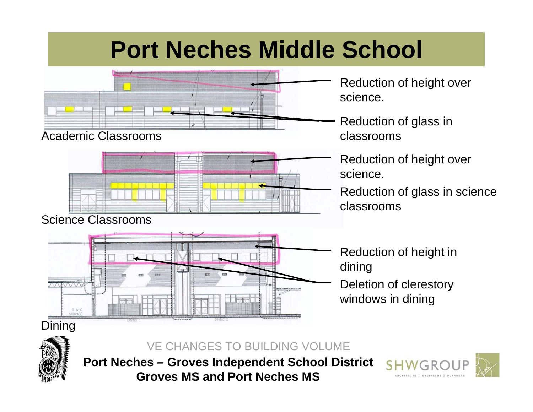## **Port Neches Middle School**



Academic Classrooms



#### Science Classrooms



Reduction of height over science.

Reduction of glass in classrooms

Reduction of height over science.

Reduction of glass in science classrooms

Reduction of height in dining Deletion of clerestory

windows in dining

#### VE CHANGES TO BUILDING VOLUME



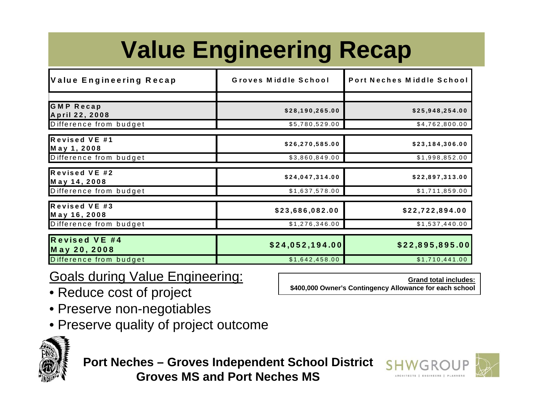# **Value Engineering Recap**

| Value Engineering Recap            | Groves Middle School | Port Neches Middle School |  |
|------------------------------------|----------------------|---------------------------|--|
|                                    |                      |                           |  |
| <b>GMP Recap</b><br>April 22, 2008 | \$28,190,265.00      | \$25,948,254.00           |  |
| Difference from budget             | \$5,780,529.00       | \$4,762,800.00            |  |
| Revised VE #1<br>May 1, 2008       | \$26,270,585.00      | \$23,184,306.00           |  |
| Difference from budget             | \$3,860,849.00       | \$1,998,852.00            |  |
| Revised VE #2<br>May 14, 2008      | \$24,047,314.00      | \$22,897,313.00           |  |
| Difference from budget             | \$1,637,578.00       | \$1,711,859.00            |  |
| Revised VE #3<br>May 16, 2008      | \$23,686,082.00      | \$22,722,894.00           |  |
| Difference from budget             | \$1,276,346.00       | \$1,537,440.00            |  |
| Revised VE #4<br>May 20, 2008      | \$24,052,194.00      | \$22,895,895.00           |  |
| Difference from budget             | \$1,642,458.00       | \$1,710,441.00            |  |

### Goals during Value Engineering:

- Reduce cost of project
- Preserve non-negotiables
- Preserve quality of project outcome



**Port Neches – Groves Independent School District Groves MS and Port Neches MS**



**Grand total includes:**

**\$400,000 Owner's Contingency Allowance for each school**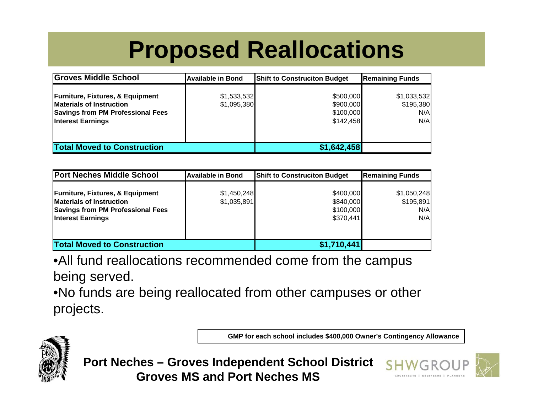## **Proposed Reallocations**

| <b>Groves Middle School</b>                                                                                                                     | <b>Available in Bond</b>   | <b>Shift to Construciton Budget</b>              | <b>Remaining Funds</b>                 |
|-------------------------------------------------------------------------------------------------------------------------------------------------|----------------------------|--------------------------------------------------|----------------------------------------|
| <b>Furniture, Fixtures, &amp; Equipment</b><br><b>Materials of Instruction</b><br>Savings from PM Professional Fees<br><b>Interest Earnings</b> | \$1,533,532<br>\$1,095,380 | \$500,000<br>\$900,000<br>\$100,000<br>\$142,458 | \$1,033,532<br>\$195,380<br>N/A<br>N/A |
| <b>Total Moved to Construction</b>                                                                                                              |                            | \$1,642,458                                      |                                        |

| <b>Port Neches Middle School</b>                                                                                                                       | <b>Available in Bond</b>   | <b>Shift to Construciton Budget</b>              | <b>Remaining Funds</b>                 |
|--------------------------------------------------------------------------------------------------------------------------------------------------------|----------------------------|--------------------------------------------------|----------------------------------------|
| <b>Furniture, Fixtures, &amp; Equipment</b><br><b>Materials of Instruction</b><br><b>Savings from PM Professional Fees</b><br><b>Interest Earnings</b> | \$1,450,248<br>\$1,035,891 | \$400,000<br>\$840,000<br>\$100,000<br>\$370,441 | \$1,050,248<br>\$195,891<br>N/A<br>N/A |
| <b>Total Moved to Construction</b>                                                                                                                     |                            | \$1,710,441                                      |                                        |

•All fund reallocations recommended come from the campus being served.

•No funds are being reallocated from other campuses or other projects.

**GMP for each school includes \$400,000 Owner's Contingency Allowance**





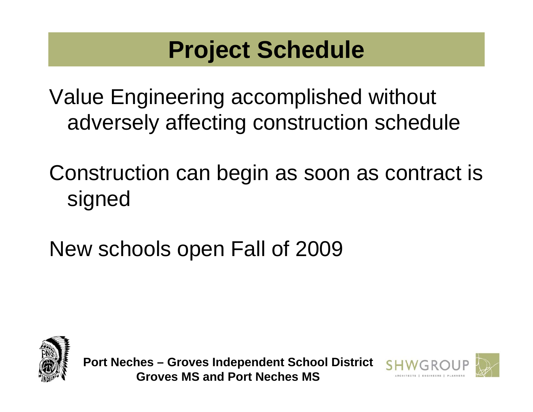## **Project Schedule**

Value Engineering accomplished without adversely affecting construction schedule

Construction can begin as soon as contract is signed

New schools open Fall of 2009



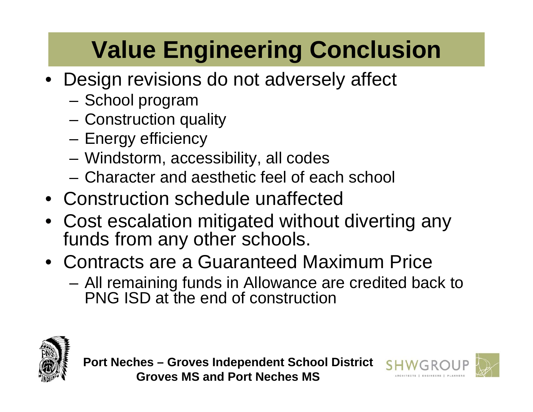## **Value Engineering Conclusion**

- Design revisions do not adversely affect
	- School program
	- Construction quality
	- Energy efficiency
	- Windstorm, accessibility, all codes
	- Character and aesthetic feel of each school
- Construction schedule unaffected
- Cost escalation mitigated without diverting any funds from any other schools.
- Contracts are a Guaranteed Maximum Price
	- All remaining funds in Allowance are credited back to PNG ISD at the end of construction



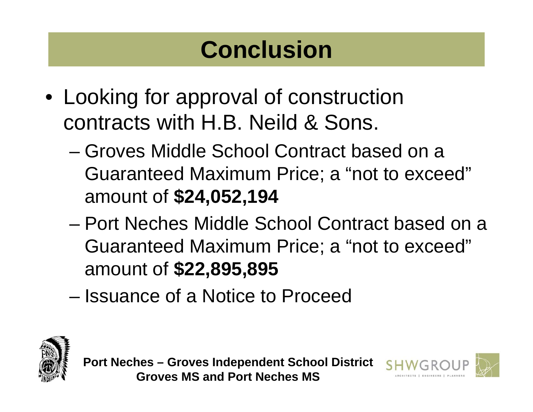## **Conclusion**

- Looking for approval of construction contracts with H.B. Neild & Sons.
	- Groves Middle School Contract based on a Guaranteed Maximum Price; a "not to exceed" amount of **\$24,052,194**
	- Port Neches Middle School Contract based on a Guaranteed Maximum Price; a "not to exceed" amount of **\$22,895,895**
	- Issuance of a Notice to Proceed